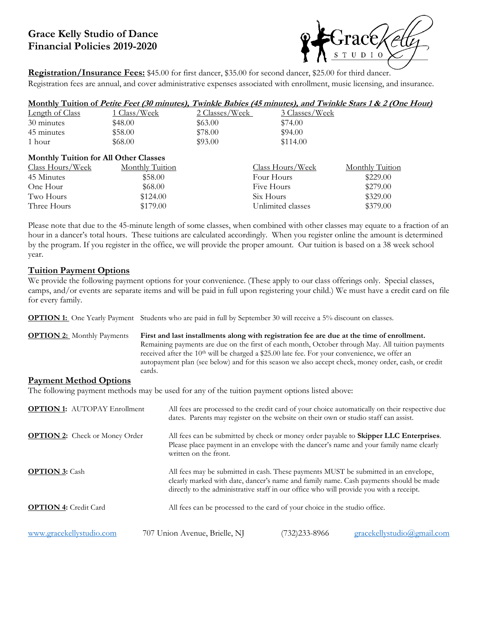# **Grace Kelly Studio of Dance Financial Policies 2019-2020**



**Registration/Insurance Fees:** \$45.00 for first dancer, \$35.00 for second dancer, \$25.00 for third dancer. Registration fees are annual, and cover administrative expenses associated with enrollment, music licensing, and insurance.

|                                       |                 |                |                   | <u>Monthly Tuition of Petite Feet (30 minutes), Twinkle Babies (45 minutes), and Twinkle Stars 1 &amp; 2 (One Hour)</u> |
|---------------------------------------|-----------------|----------------|-------------------|-------------------------------------------------------------------------------------------------------------------------|
| Length of Class                       | 1 Class/Week    | 2 Classes/Week | 3 Classes/Week    |                                                                                                                         |
| 30 minutes                            | \$48.00         | \$63.00        | \$74.00           |                                                                                                                         |
| 45 minutes                            | \$58.00         | \$78.00        | \$94.00           |                                                                                                                         |
| 1 hour                                | \$68.00         | \$93.00        | \$114.00          |                                                                                                                         |
| Monthly Tuition for All Other Classes |                 |                |                   |                                                                                                                         |
| Class Hours/Week                      | Monthly Tuition |                | Class Hours/Week  | Monthly Tuition                                                                                                         |
| 45 Minutes                            | \$58.00         |                | Four Hours        | \$229.00                                                                                                                |
| One Hour                              | \$68.00         |                | Five Hours        | \$279.00                                                                                                                |
| Two Hours                             | \$124.00        |                | Six Hours         | \$329.00                                                                                                                |
| Three Hours                           | \$179.00        |                | Unlimited classes | \$379.00                                                                                                                |

Please note that due to the 45-minute length of some classes, when combined with other classes may equate to a fraction of an hour in a dancer's total hours. These tuitions are calculated accordingly. When you register online the amount is determined by the program. If you register in the office, we will provide the proper amount. Our tuition is based on a 38 week school year.

### **Tuition Payment Options**

We provide the following payment options for your convenience. (These apply to our class offerings only. Special classes, camps, and/or events are separate items and will be paid in full upon registering your child.) We must have a credit card on file for every family.

**OPTION 1:** One Yearly Payment Students who are paid in full by September 30 will receive a 5% discount on classes.

**OPTION 2:** Monthly Payments **First and last installments along with registration fee are due at the time of enrollment.**  Remaining payments are due on the first of each month, October through May. All tuition payments received after the 10<sup>th</sup> will be charged a \$25.00 late fee. For your convenience, we offer an autopayment plan (see below) and for this season we also accept check, money order, cash, or credit cards.

#### **Payment Method Options**

The following payment methods may be used for any of the tuition payment options listed above:

| <b>OPTION 1:</b> AUTOPAY Enrollment   | dates. Parents may register on the website on their own or studio staff can assist. |                                                                                                                                                                                                                                                                         | All fees are processed to the credit card of your choice automatically on their respective due |  |  |
|---------------------------------------|-------------------------------------------------------------------------------------|-------------------------------------------------------------------------------------------------------------------------------------------------------------------------------------------------------------------------------------------------------------------------|------------------------------------------------------------------------------------------------|--|--|
| <b>OPTION 2:</b> Check or Money Order | written on the front.                                                               | All fees can be submitted by check or money order payable to <b>Skipper LLC Enterprises</b> .<br>Please place payment in an envelope with the dancer's name and your family name clearly                                                                                |                                                                                                |  |  |
| <b>OPTION 3: Cash</b>                 |                                                                                     | All fees may be submitted in cash. These payments MUST be submitted in an envelope,<br>clearly marked with date, dancer's name and family name. Cash payments should be made<br>directly to the administrative staff in our office who will provide you with a receipt. |                                                                                                |  |  |
| <b>OPTION 4: Credit Card</b>          |                                                                                     | All fees can be processed to the card of your choice in the studio office.                                                                                                                                                                                              |                                                                                                |  |  |
| www.gracekellystudio.com              | 707 Union Avenue, Brielle, NJ                                                       | (732) 233-8966                                                                                                                                                                                                                                                          | gracekellystudio@gmail.com                                                                     |  |  |